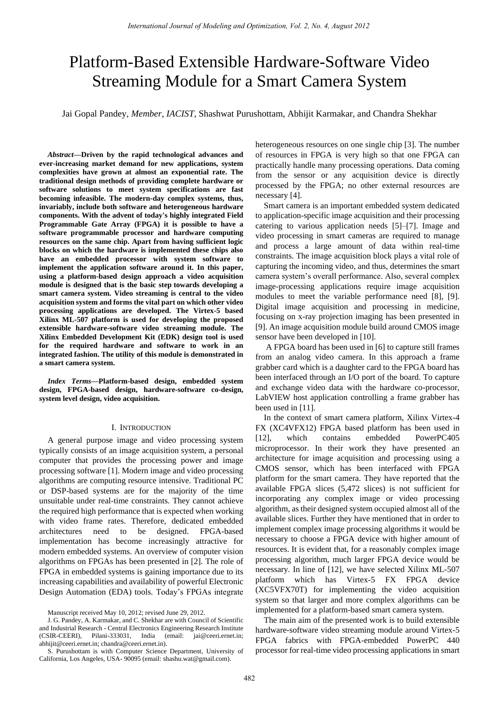# Platform-Based Extensible Hardware-Software Video Streaming Module for a Smart Camera System

Jai Gopal Pandey, *Member, IACIST*, Shashwat Purushottam, Abhijit Karmakar, and Chandra Shekhar

*Abstract***—Driven by the rapid technological advances and ever-increasing market demand for new applications, system complexities have grown at almost an exponential rate. The traditional design methods of providing complete hardware or software solutions to meet system specifications are fast becoming infeasible. The modern-day complex systems, thus, invariably, include both software and heterogeneous hardware components. With the advent of today's highly integrated Field Programmable Gate Array (FPGA) it is possible to have a software programmable processor and hardware computing resources on the same chip. Apart from having sufficient logic blocks on which the hardware is implemented these chips also have an embedded processor with system software to implement the application software around it. In this paper, using a platform-based design approach a video acquisition module is designed that is the basic step towards developing a smart camera system. Video streaming is central to the video acquisition system and forms the vital part on which other video processing applications are developed. The Virtex-5 based Xilinx ML-507 platform is used for developing the proposed extensible hardware-software video streaming module. The Xilinx Embedded Development Kit (EDK) design tool is used for the required hardware and software to work in an integrated fashion. The utility of this module is demonstrated in a smart camera system.** 

*Index Terms***—Platform-based design, embedded system design, FPGA-based design, hardware-software co-design, system level design, video acquisition.** 

## I. INTRODUCTION

A general purpose image and video processing system typically consists of an image acquisition system, a personal computer that provides the processing power and image processing software [1]. Modern image and video processing algorithms are computing resource intensive. Traditional PC or DSP-based systems are for the majority of the time unsuitable under real-time constraints. They cannot achieve the required high performance that is expected when working with video frame rates. Therefore, dedicated embedded architectures need to be designed. FPGA-based implementation has become increasingly attractive for modern embedded systems. An overview of computer vision algorithms on FPGAs has been presented in [2]. The role of FPGA in embedded systems is gaining importance due to its increasing capabilities and availability of powerful Electronic Design Automation (EDA) tools*.* Today's FPGAs integrate heterogeneous resources on one single chip [3]. The number of resources in FPGA is very high so that one FPGA can practically handle many processing operations. Data coming from the sensor or any acquisition device is directly processed by the FPGA; no other external resources are necessary [4].

Smart camera is an important embedded system dedicated to application-specific image acquisition and their processing catering to various application needs [5]–[7]. Image and video processing in smart cameras are required to manage and process a large amount of data within real-time constraints. The image acquisition block plays a vital role of capturing the incoming video, and thus, determines the smart camera system's overall performance. Also, several complex image-processing applications require image acquisition modules to meet the variable performance need [8], [9]. Digital image acquisition and processing in medicine, focusing on x-ray projection imaging has been presented in [9]. An image acquisition module build around CMOS image sensor have been developed in [10].

 A FPGA board has been used in [6] to capture still frames from an analog video camera. In this approach a frame grabber card which is a daughter card to the FPGA board has been interfaced through an I/O port of the board. To capture and exchange video data with the hardware co-processor, LabVIEW host application controlling a frame grabber has been used in [11].

In the context of smart camera platform, Xilinx Virtex-4 FX (XC4VFX12) FPGA based platform has been used in [12], which contains embedded PowerPC405 microprocessor. In their work they have presented an architecture for image acquisition and processing using a CMOS sensor, which has been interfaced with FPGA platform for the smart camera. They have reported that the available FPGA slices (5,472 slices) is not sufficient for incorporating any complex image or video processing algorithm, as their designed system occupied almost all of the available slices. Further they have mentioned that in order to implement complex image processing algorithms it would be necessary to choose a FPGA device with higher amount of resources. It is evident that, for a reasonably complex image processing algorithm, much larger FPGA device would be necessary. In line of [12], we have selected Xilinx ML-507 platform which has Virtex-5 FX FPGA device (XC5VFX70T) for implementing the video acquisition system so that larger and more complex algorithms can be implemented for a platform-based smart camera system.

The main aim of the presented work is to build extensible hardware-software video streaming module around Virtex-5 FPGA fabrics with FPGA-embedded PowerPC 440 processor for real-time video processing applications in smart

Manuscript received May 10, 2012; revised June 29, 2012.

J. G. Pandey, A. Karmakar, and C. Shekhar are with Council of Scientific and Industrial Research - Central Electronics Engineering Research Institute (CSIR-CEERI), Pilani-333031, India (email: jai@ceeri.ernet.in; abhijit@ceeri.ernet.in; chandra@ceeri.ernet.in).

S. Purushottam is with Computer Science Department, University of California, Los Angeles, USA- 90095 (email: shashu.wat@gmail.com).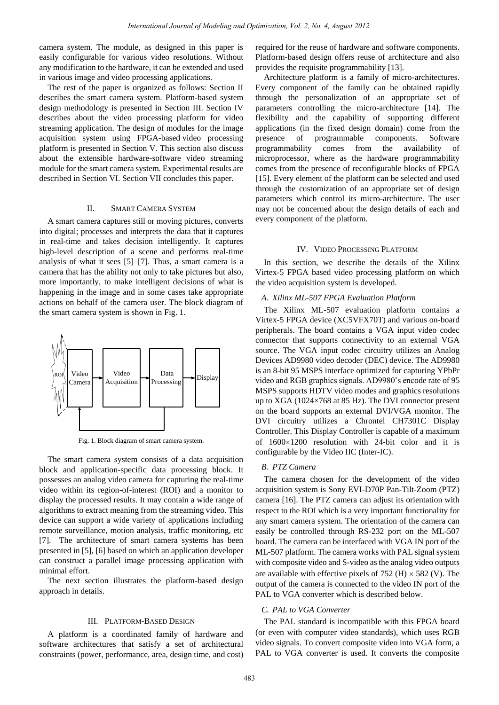camera system. The module, as designed in this paper is easily configurable for various video resolutions. Without any modification to the hardware, it can be extended and used in various image and video processing applications.

The rest of the paper is organized as follows: Section II describes the smart camera system. Platform-based system design methodology is presented in Section III. Section IV describes about the video processing platform for video streaming application. The design of modules for the image acquisition system using FPGA-based video processing platform is presented in Section V. This section also discuss about the extensible hardware-software video streaming module for the smart camera system. Experimental results are described in Section VI. Section VII concludes this paper.

# II. SMART CAMERA SYSTEM

A smart camera captures still or moving pictures, converts into digital; processes and interprets the data that it captures in real-time and takes decision intelligently. It captures high-level description of a scene and performs real-time analysis of what it sees [5]–[7]. Thus, a smart camera is a camera that has the ability not only to take pictures but also, more importantly, to make intelligent decisions of what is happening in the image and in some cases take appropriate actions on behalf of the camera user. The block diagram of the smart camera system is shown in Fig. 1.



Fig. 1. Block diagram of smart camera system.

The smart camera system consists of a data acquisition block and application-specific data processing block. It possesses an analog video camera for capturing the real-time video within its region-of-interest (ROI) and a monitor to display the processed results. It may contain a wide range of algorithms to extract meaning from the streaming video. This device can support a wide variety of applications including remote surveillance, motion analysis, traffic monitoring, etc [7]. The architecture of smart camera systems has been presented in [5], [6] based on which an application developer can construct a parallel image processing application with minimal effort.

The next section illustrates the platform-based design approach in details.

### III. PLATFORM-BASED DESIGN

A platform is a coordinated family of hardware and software architectures that satisfy a set of architectural constraints (power, performance, area, design time, and cost)

required for the reuse of hardware and software components. Platform-based design offers reuse of architecture and also provides the requisite programmability [13].

Architecture platform is a family of micro-architectures. Every component of the family can be obtained rapidly through the personalization of an appropriate set of parameters controlling the micro-architecture [14]. The flexibility and the capability of supporting different applications (in the fixed design domain) come from the presence of programmable components. Software programmability comes from the availability of microprocessor, where as the hardware programmability comes from the presence of reconfigurable blocks of FPGA [15]. Every element of the platform can be selected and used through the customization of an appropriate set of design parameters which control its micro-architecture. The user may not be concerned about the design details of each and every component of the platform.

#### IV. VIDEO PROCESSING PLATFORM

In this section, we describe the details of the Xilinx Virtex-5 FPGA based video processing platform on which the video acquisition system is developed.

# *A. Xilinx ML-507 FPGA Evaluation Platform*

The Xilinx ML-507 evaluation platform contains a Virtex-5 FPGA device (XC5VFX70T) and various on-board peripherals. The board contains a VGA input video codec connector that supports connectivity to an external VGA source. The VGA input codec circuitry utilizes an Analog Devices AD9980 video decoder (DEC) device. The AD9980 is an 8-bit 95 MSPS interface optimized for capturing YPbPr video and RGB graphics signals. AD9980's encode rate of 95 MSPS supports HDTV video modes and graphics resolutions up to XGA (1024×768 at 85 Hz). The DVI connector present on the board supports an external DVI/VGA monitor. The DVI circuitry utilizes a Chrontel CH7301C Display Controller. This Display Controller is capable of a maximum of  $1600\times1200$  resolution with 24-bit color and it is configurable by the Video IIC (Inter-IC).

### *B. PTZ Camera*

The camera chosen for the development of the video acquisition system is Sony EVI-D70P Pan-Tilt-Zoom (PTZ) camera [16]. The PTZ camera can adjust its orientation with respect to the ROI which is a very important functionality for any smart camera system. The orientation of the camera can easily be controlled through RS-232 port on the ML-507 board. The camera can be interfaced with VGA IN port of the ML-507 platform. The camera works with PAL signal system with composite video and S-video as the analog video outputs are available with effective pixels of 752 (H)  $\times$  582 (V). The output of the camera is connected to the video IN port of the PAL to VGA converter which is described below.

# *C. PAL to VGA Converter*

The PAL standard is incompatible with this FPGA board (or even with computer video standards), which uses RGB video signals. To convert composite video into VGA form, a PAL to VGA converter is used. It converts the composite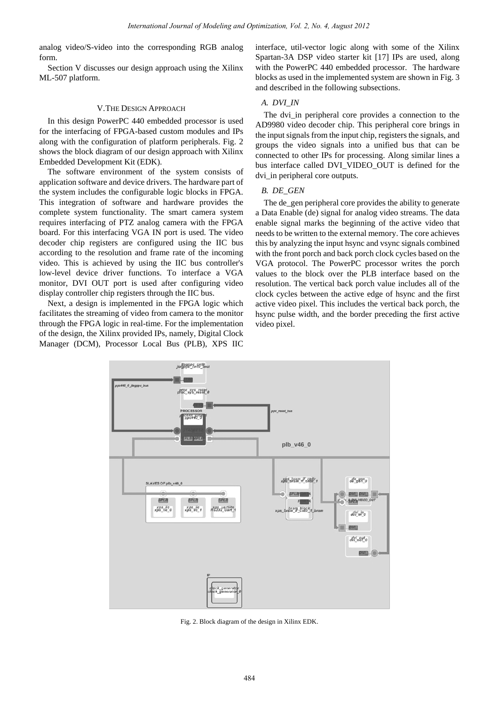analog video/S-video into the corresponding RGB analog form.

Section V discusses our design approach using the Xilinx ML-507 platform.

# V.THE DESIGN APPROACH

In this design PowerPC 440 embedded processor is used for the interfacing of FPGA-based custom modules and IPs along with the configuration of platform peripherals. Fig. 2 shows the block diagram of our design approach with Xilinx Embedded Development Kit (EDK).

The software environment of the system consists of application software and device drivers. The hardware part of the system includes the configurable logic blocks in FPGA. This integration of software and hardware provides the complete system functionality. The smart camera system requires interfacing of PTZ analog camera with the FPGA board. For this interfacing VGA IN port is used. The video decoder chip registers are configured using the IIC bus according to the resolution and frame rate of the incoming video. This is achieved by using the IIC bus controller's low-level device driver functions. To interface a VGA monitor, DVI OUT port is used after configuring video display controller chip registers through the IIC bus.

Next, a design is implemented in the FPGA logic which facilitates the streaming of video from camera to the monitor through the FPGA logic in real-time. For the implementation of the design, the Xilinx provided IPs, namely, Digital Clock Manager (DCM), Processor Local Bus (PLB), XPS IIC interface, util-vector logic along with some of the Xilinx Spartan-3A DSP video starter kit [17] IPs are used, along with the PowerPC 440 embedded processor. The hardware blocks as used in the implemented system are shown in Fig. 3 and described in the following subsections.

## *A. DVI\_IN*

The dvi in peripheral core provides a connection to the AD9980 video decoder chip. This peripheral core brings in the input signals from the input chip, registers the signals, and groups the video signals into a unified bus that can be connected to other IPs for processing. Along similar lines a bus interface called DVI\_VIDEO\_OUT is defined for the dvi\_in peripheral core outputs.

#### *B. DE\_GEN*

The de\_gen peripheral core provides the ability to generate a Data Enable (de) signal for analog video streams. The data enable signal marks the beginning of the active video that needs to be written to the external memory. The core achieves this by analyzing the input hsync and vsync signals combined with the front porch and back porch clock cycles based on the VGA protocol. The PowerPC processor writes the porch values to the block over the PLB interface based on the resolution. The vertical back porch value includes all of the clock cycles between the active edge of hsync and the first active video pixel. This includes the vertical back porch, the hsync pulse width, and the border preceding the first active video pixel.



Fig. 2. Block diagram of the design in Xilinx EDK.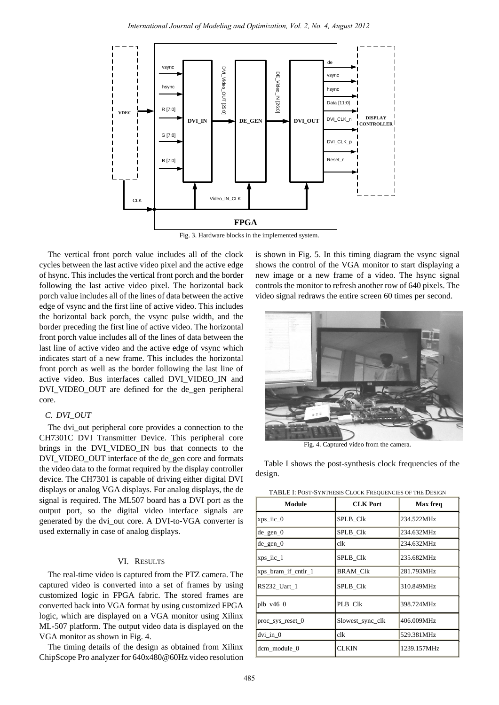

Fig. 3. Hardware blocks in the implemented system.

The vertical front porch value includes all of the clock cycles between the last active video pixel and the active edge of hsync. This includes the vertical front porch and the border following the last active video pixel. The horizontal back porch value includes all of the lines of data between the active edge of vsync and the first line of active video. This includes the horizontal back porch, the vsync pulse width, and the border preceding the first line of active video. The horizontal front porch value includes all of the lines of data between the last line of active video and the active edge of vsync which indicates start of a new frame. This includes the horizontal front porch as well as the border following the last line of active video. Bus interfaces called DVI\_VIDEO\_IN and DVI\_VIDEO\_OUT are defined for the de\_gen peripheral core.

# *C. DVI\_OUT*

The dvi out peripheral core provides a connection to the CH7301C DVI Transmitter Device. This peripheral core brings in the DVI VIDEO IN bus that connects to the DVI\_VIDEO\_OUT interface of the de\_gen core and formats the video data to the format required by the display controller device. The CH7301 is capable of driving either digital DVI displays or analog VGA displays. For analog displays, the de signal is required. The ML507 board has a DVI port as the output port, so the digital video interface signals are generated by the dvi\_out core. A DVI-to-VGA converter is used externally in case of analog displays.

# VI. RESULTS

The real-time video is captured from the PTZ camera. The captured video is converted into a set of frames by using customized logic in FPGA fabric. The stored frames are converted back into VGA format by using customized FPGA logic, which are displayed on a VGA monitor using Xilinx ML-507 platform. The output video data is displayed on the VGA monitor as shown in Fig. 4.

The timing details of the design as obtained from Xilinx ChipScope Pro analyzer for 640x480@60Hz video resolution is shown in Fig. 5. In this timing diagram the vsync signal shows the control of the VGA monitor to start displaying a new image or a new frame of a video. The hsync signal controls the monitor to refresh another row of 640 pixels. The video signal redraws the entire screen 60 times per second.



Fig. 4. Captured video from the camera.

Table I shows the post-synthesis clock frequencies of the design.

| Module              | <b>CLK</b> Port  | <b>Max</b> freq |
|---------------------|------------------|-----------------|
| $xps\_lic_0$        | SPLB Clk         | 234.522MHz      |
| $de\_gen\_0$        | <b>SPLB Clk</b>  | 234.632MHz      |
| $de\_gen\_0$        | clk              | 234.632MHz      |
| $xps\_lic\_1$       | <b>SPLB Clk</b>  | 235.682MHz      |
| xps_bram_if_cntlr_1 | <b>BRAM Clk</b>  | 281.793MHz      |
| RS232 Uart 1        | SPLB_Clk         | 310.849MHz      |
| plb $v46$ 0         | PLB Clk          | 398.724MHz      |
| $proc_sys\_reset_0$ | Slowest_sync_clk | 406.009MHz      |
| $dvi_in_0$          | clk              | 529.381MHz      |
| dcm module 0        | <b>CLKIN</b>     | 1239.157MHz     |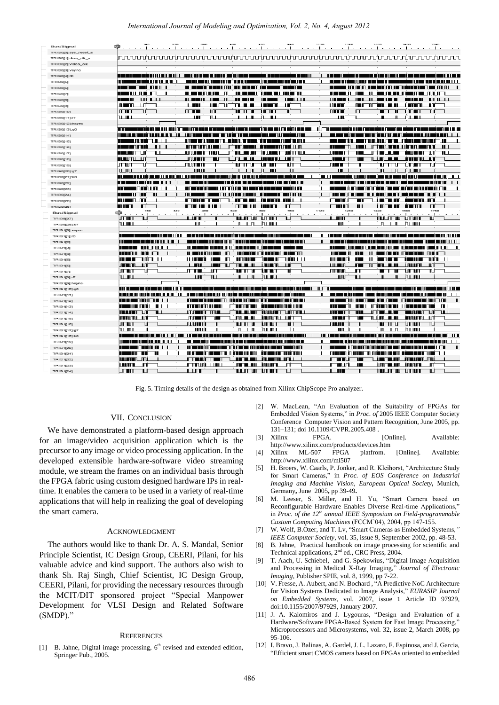| <b>Bus/Signal</b>             | Ф. <u>.</u>                                                                                                            | 160                                                                                                                   | 320               |                                |                                            |                                                                                                                                                                                                                                      |                                                                                                                                                                                                                                     |                                                               | 1120     | 1280                                                                                                                  |              | 1440                           |                                          | 1600                                                                                                                                                                                                                           | 1760                           |              |
|-------------------------------|------------------------------------------------------------------------------------------------------------------------|-----------------------------------------------------------------------------------------------------------------------|-------------------|--------------------------------|--------------------------------------------|--------------------------------------------------------------------------------------------------------------------------------------------------------------------------------------------------------------------------------------|-------------------------------------------------------------------------------------------------------------------------------------------------------------------------------------------------------------------------------------|---------------------------------------------------------------|----------|-----------------------------------------------------------------------------------------------------------------------|--------------|--------------------------------|------------------------------------------|--------------------------------------------------------------------------------------------------------------------------------------------------------------------------------------------------------------------------------|--------------------------------|--------------|
| TRIGO[0]:sys_reset_s          |                                                                                                                        |                                                                                                                       |                   |                                |                                            |                                                                                                                                                                                                                                      |                                                                                                                                                                                                                                     |                                                               |          |                                                                                                                       |              |                                |                                          |                                                                                                                                                                                                                                |                                |              |
| TRIGOI11:dcm clk s            |                                                                                                                        |                                                                                                                       |                   |                                |                                            |                                                                                                                                                                                                                                      |                                                                                                                                                                                                                                     | <u> Մատարանատարանատարանատարանատարանատարանատարանատարանատար</u> |          |                                                                                                                       |              |                                |                                          |                                                                                                                                                                                                                                |                                |              |
| TRIGO[2]:video_cik            |                                                                                                                        |                                                                                                                       |                   |                                |                                            |                                                                                                                                                                                                                                      |                                                                                                                                                                                                                                     |                                                               |          |                                                                                                                       |              |                                |                                          |                                                                                                                                                                                                                                |                                |              |
| TRIG0[3]:vsync                |                                                                                                                        |                                                                                                                       |                   |                                |                                            |                                                                                                                                                                                                                                      |                                                                                                                                                                                                                                     |                                                               |          |                                                                                                                       |              |                                |                                          |                                                                                                                                                                                                                                |                                |              |
| TRIG0[4]:r0                   | <u>TELEVISION SENIORU PULLEUM LIIU SENIORU PULLEUM SENIORU PULLEUM SENIORU PULLEUM SENIORU PULLEUM SENIORU PULLEUM</u> |                                                                                                                       |                   |                                |                                            |                                                                                                                                                                                                                                      |                                                                                                                                                                                                                                     | <b>TETIN</b>                                                  |          |                                                                                                                       |              |                                |                                          |                                                                                                                                                                                                                                |                                | man m        |
| TRIGO[5]                      | <b>TITL</b>                                                                                                            |                                                                                                                       |                   |                                |                                            |                                                                                                                                                                                                                                      |                                                                                                                                                                                                                                     |                                                               |          | <b>THE REAL PROPERTY</b>                                                                                              |              |                                |                                          |                                                                                                                                                                                                                                |                                |              |
| TRIGO[6]                      | <u>Literaturu ili se</u>                                                                                               |                                                                                                                       |                   |                                |                                            | <b>THE REPORT OF A 1999 IN 1999 IN 1999</b>                                                                                                                                                                                          |                                                                                                                                                                                                                                     |                                                               |          |                                                                                                                       | T in mn T    |                                |                                          | <u>Link Albert Link Albert Link</u>                                                                                                                                                                                            | im ni                          |              |
| TRIG0[7]                      | الشائلات التاريخ                                                                                                       |                                                                                                                       |                   | n minimum m                    |                                            |                                                                                                                                                                                                                                      |                                                                                                                                                                                                                                     |                                                               |          |                                                                                                                       |              |                                |                                          | normali dan bir bir bir bir bir bir bir bir bir                                                                                                                                                                                |                                |              |
| TRIGO[8]                      | <b>THE INFORMATION</b>                                                                                                 |                                                                                                                       |                   | $\mathbf{u}$ and $\mathbf{u}$  | $\mathbb{I}$ $\blacksquare$ $\blacksquare$ | <b>TITLET</b>                                                                                                                                                                                                                        | THE LIF                                                                                                                                                                                                                             | பாப்ப                                                         |          | <b>IN LETT</b>                                                                                                        | . m. n.      |                                |                                          | <u> Karl Timer</u>                                                                                                                                                                                                             | ան                             | $\mathbf{L}$ |
| <b>TRIGO[9]</b>               | TUE TL<br>ा त                                                                                                          |                                                                                                                       |                   | 1. MI                          | <b>THE NET</b>                             | ъ<br>11 O O                                                                                                                                                                                                                          | $\blacksquare$                                                                                                                                                                                                                      | ΙП                                                            |          | <b>IN THE R</b>                                                                                                       | шг           | TUTTLELLI                      |                                          | <b>THEFT</b>                                                                                                                                                                                                                   | Ш                              |              |
| <b>TRIGO[10]</b>              | ЛT                                                                                                                     |                                                                                                                       |                   | 0 M                            | $\mathbf{H}$                               |                                                                                                                                                                                                                                      | u mariana                                                                                                                                                                                                                           | T                                                             |          | <b>ATTER</b>                                                                                                          | $\mathbf{u}$ |                                |                                          | ■ । ॥ ॥ ॥ ॥ ॥ ॥                                                                                                                                                                                                                | πr                             |              |
| TRIGO[11]:r7                  | யய                                                                                                                     |                                                                                                                       |                   | ш                              | ╖╻                                         | <u> 111 - 12</u>                                                                                                                                                                                                                     | ப்பட                                                                                                                                                                                                                                |                                                               |          | Шľ                                                                                                                    | ו ד          |                                | $\mathbf{u}$                             | ni 11                                                                                                                                                                                                                          |                                |              |
| TRIG0[12]:hsync               |                                                                                                                        |                                                                                                                       |                   |                                |                                            |                                                                                                                                                                                                                                      |                                                                                                                                                                                                                                     |                                                               |          |                                                                                                                       |              |                                |                                          |                                                                                                                                                                                                                                |                                |              |
| TRIGO[13]:g0                  | in a company of the contract of the contract of the contract of the contract of the contract of the contract of        |                                                                                                                       |                   |                                |                                            |                                                                                                                                                                                                                                      |                                                                                                                                                                                                                                     |                                                               |          |                                                                                                                       |              |                                |                                          |                                                                                                                                                                                                                                | <b>THE REAL PROPERTY OF ST</b> |              |
|                               |                                                                                                                        |                                                                                                                       | ÎΠ                |                                |                                            |                                                                                                                                                                                                                                      |                                                                                                                                                                                                                                     |                                                               |          |                                                                                                                       |              | <u> TERRITORIA DE L</u>        |                                          |                                                                                                                                                                                                                                |                                |              |
| TRIG0[14]                     |                                                                                                                        | <b>THEFT LE</b>                                                                                                       |                   | HT .                           |                                            |                                                                                                                                                                                                                                      |                                                                                                                                                                                                                                     |                                                               |          |                                                                                                                       |              |                                |                                          | <u>n din bilin bilin bilin bilin bilin bilin bilin bilin bilin bilin bilin bilin bilin bilin bilin bilin bilin bi</u>                                                                                                          |                                |              |
| <b>TRIGO[15]</b>              | T 1 11 11 11                                                                                                           | . .                                                                                                                   |                   |                                |                                            | ENTRUCCIO DE LA CONTRACTA DE LA CONTRACTA DEL 1110                                                                                                                                                                                   |                                                                                                                                                                                                                                     |                                                               |          | ш                                                                                                                     |              | <u> 100 - 100 March 110 Ma</u> |                                          |                                                                                                                                                                                                                                | шı                             |              |
| <b>TRIGO[16]</b>              |                                                                                                                        |                                                                                                                       |                   |                                |                                            |                                                                                                                                                                                                                                      |                                                                                                                                                                                                                                     |                                                               |          |                                                                                                                       |              |                                |                                          |                                                                                                                                                                                                                                |                                |              |
| TRIG0[17]                     | in Luimar                                                                                                              | . .                                                                                                                   |                   | <u> 1100 - 111 - 111 111 1</u> |                                            | <u>si masu minu umumimu</u>                                                                                                                                                                                                          |                                                                                                                                                                                                                                     |                                                               |          | <u>IN HITT</u>                                                                                                        |              |                                |                                          | THE LATER LIBERTY OF LIBERTY CONT                                                                                                                                                                                              | TU                             |              |
| <b>TRIGO[18]</b>              | <b>TURUTUL LIT</b>                                                                                                     |                                                                                                                       |                   | <b>John The Hotel</b>          | ПI                                         | ∎∎ חבר                                                                                                                                                                                                                               | innun um                                                                                                                                                                                                                            |                                                               |          | $\mathbf{m}$                                                                                                          |              | ▔▌▎▊▌▐▏▊                       |                                          | <b>TITUL LIT</b>                                                                                                                                                                                                               |                                |              |
| <b>TRIGO[19]</b>              | лтшт                                                                                                                   |                                                                                                                       |                   | mam m                          |                                            |                                                                                                                                                                                                                                      | 19 11 11 11 11 19                                                                                                                                                                                                                   | யா                                                            |          | nı <b>m</b>                                                                                                           |              |                                |                                          | 11 11 11 11 11 11 11                                                                                                                                                                                                           | ╖╻                             |              |
| TRIG0[20]:g7                  | ատա                                                                                                                    |                                                                                                                       |                   | WILLI                          |                                            |                                                                                                                                                                                                                                      | <u>n in himu</u>                                                                                                                                                                                                                    | Ħ                                                             |          | $\blacksquare$                                                                                                        |              |                                |                                          | n in filmi                                                                                                                                                                                                                     |                                |              |
| TRIG0[21]:b0                  |                                                                                                                        | ____________________________                                                                                          |                   |                                |                                            | an da min an channach                                                                                                                                                                                                                |                                                                                                                                                                                                                                     |                                                               | - 10     |                                                                                                                       | mili mili v  |                                |                                          |                                                                                                                                                                                                                                |                                | TITI ON HILL |
| <b>TRIG0[22]</b>              | Ш                                                                                                                      |                                                                                                                       |                   | 7 M N N N                      |                                            |                                                                                                                                                                                                                                      |                                                                                                                                                                                                                                     |                                                               |          |                                                                                                                       | _________    |                                | an an an Indian an Indian                |                                                                                                                                                                                                                                |                                |              |
| TRIG0[23]                     | Ш                                                                                                                      |                                                                                                                       |                   |                                |                                            | <u> El estado de la contrada de la contrada de la contrada de la contrada de la contrada de la contrada de la con</u>                                                                                                                |                                                                                                                                                                                                                                     |                                                               |          | П                                                                                                                     |              |                                |                                          | man dan bermula di bahasa dan bahasa dan bahasa dan bahasa dan bahasa dan bahasa dan bahasa dan bahasa dan bahasa dan bahasa dan bahasa dan bahasa dan bahasa dan bahasa dan bahasa dan bahasa dan bahasa dan bahasa dan bahas |                                |              |
| <b>TRIGO[24]</b>              |                                                                                                                        |                                                                                                                       |                   | ш                              |                                            |                                                                                                                                                                                                                                      |                                                                                                                                                                                                                                     |                                                               |          | <b>FULLER IN THE LIT</b>                                                                                              |              | <u> TILLIN TILL</u>            |                                          |                                                                                                                                                                                                                                |                                |              |
| <b>TRIG0[25]</b>              | <b>TURNITUM</b>                                                                                                        |                                                                                                                       |                   | лип п                          |                                            |                                                                                                                                                                                                                                      |                                                                                                                                                                                                                                     |                                                               |          | r mnr                                                                                                                 |              |                                | 1 <b>1 1 1 1 1 1 1 1 1 1 1 1 1 1 1 1</b> |                                                                                                                                                                                                                                |                                |              |
| <b>TRIGO[26]</b>              | <b>TUNITIL</b><br>л                                                                                                    |                                                                                                                       |                   | <b>FTHEFFIEL</b>               |                                            |                                                                                                                                                                                                                                      | <b>First III</b> in the second in the last of the second in the last of the second in the second in the second in the second in the second in the second in the second in the second in the second in the second in the second in t | П                                                             |          | こし コントリート しんしん しんじん しんりょう                                                                                             | Ш            |                                |                                          | ina an àinm                                                                                                                                                                                                                    | л                              |              |
|                               |                                                                                                                        |                                                                                                                       |                   |                                |                                            |                                                                                                                                                                                                                                      |                                                                                                                                                                                                                                     |                                                               |          |                                                                                                                       |              |                                |                                          |                                                                                                                                                                                                                                |                                |              |
| <b>Bus/Signal</b>             | GÓ.                                                                                                                    | 160<br>. .                                                                                                            | 320               | 480<br>. L.                    |                                            | 640<br><b>A. J. A.</b>                                                                                                                                                                                                               | 800<br>$\sim$ 1.1                                                                                                                                                                                                                   | 960                                                           | 1120     | 1280                                                                                                                  |              | 1440<br>$-1 - 1$               |                                          | 1600<br>$\sim$ $\sim$ $\sim$                                                                                                                                                                                                   | 1760<br>$\mathbf{I}$           |              |
| <b>TRIG0[27]</b>              | <b>JTHT D</b>                                                                                                          |                                                                                                                       | $\cdot$ 1 $\cdot$ | பயா                            |                                            |                                                                                                                                                                                                                                      | wa katifu mwaka wa 1970 ha                                                                                                                                                                                                          | ш                                                             | $-1 - 1$ | $\overline{1}$<br><u>mm</u>                                                                                           |              |                                |                                          | ™™™™                                                                                                                                                                                                                           | וור                            |              |
| TRIG0[28]:b7                  | யய                                                                                                                     |                                                                                                                       |                   | Ш                              |                                            | டபட                                                                                                                                                                                                                                  | <b>ALL UT</b>                                                                                                                                                                                                                       |                                                               |          | Ш                                                                                                                     |              |                                | $\blacksquare$                           | <b>FILLER</b>                                                                                                                                                                                                                  |                                |              |
| TRIG1[0]:vsync                |                                                                                                                        |                                                                                                                       |                   |                                |                                            |                                                                                                                                                                                                                                      |                                                                                                                                                                                                                                     |                                                               |          |                                                                                                                       |              |                                |                                          |                                                                                                                                                                                                                                |                                |              |
| TRIG1[1]:r0                   |                                                                                                                        |                                                                                                                       |                   |                                |                                            | <u>t en de la digital de la componentación de la con</u>                                                                                                                                                                             |                                                                                                                                                                                                                                     |                                                               |          |                                                                                                                       |              |                                |                                          | i de la contrada de la componentación de la contrada de la contrada de la contrada de la contrada de la contra                                                                                                                 |                                |              |
| <b>TRIG1[2]</b>               |                                                                                                                        |                                                                                                                       |                   |                                |                                            |                                                                                                                                                                                                                                      |                                                                                                                                                                                                                                     |                                                               |          |                                                                                                                       |              | .                              | - 1                                      |                                                                                                                                                                                                                                |                                | .            |
| <b>TRIG1[3]</b>               |                                                                                                                        | <b>TELEPHONE PRESE</b>                                                                                                |                   |                                |                                            | AL DE L'ANTIQUE DE L'ANTIQUE DE L'ANTIQUE                                                                                                                                                                                            |                                                                                                                                                                                                                                     |                                                               |          |                                                                                                                       |              |                                |                                          | <u> Alemania de la contra de la contra de la contra de la contra de la contra de la contra de la contra de la con</u>                                                                                                          |                                |              |
| <b>TRIG1[4]</b>               | <b>TELEVISION DEL 177</b>                                                                                              |                                                                                                                       |                   |                                |                                            | <u> III wana kutoka matu wa matu wa matu wa matu wa matu wa matu wa matu wa matu wa matu wa matu wa matu wa matu</u>                                                                                                                 |                                                                                                                                                                                                                                     |                                                               |          |                                                                                                                       |              |                                |                                          | <u>il per la forma del provincia del mate</u>                                                                                                                                                                                  |                                |              |
| TRIG1[5]                      | mor                                                                                                                    | ┒╓┓▁╻╷                                                                                                                |                   | $\blacksquare$                 |                                            | <u>in a minimum s</u>                                                                                                                                                                                                                | 10 O H                                                                                                                                                                                                                              | uш                                                            |          | <u>THE REAL PROPERTY OF THE REAL PROPERTY OF THE REAL PROPERTY OF THE REAL PROPERTY OF THE REAL PROPERTY OF THE R</u> |              |                                |                                          |                                                                                                                                                                                                                                | וחר                            |              |
| <b>TRIG1[6]</b>               | n m                                                                                                                    | பா                                                                                                                    |                   | $\blacksquare$                 |                                            | <u>in Fight The High</u>                                                                                                                                                                                                             | <b>IN HEIM</b>                                                                                                                                                                                                                      | --                                                            |          | $1111$ $111$                                                                                                          |              |                                |                                          |                                                                                                                                                                                                                                | Ш                              |              |
| <b>TRIG1[7]</b>               | ா பா                                                                                                                   | υ                                                                                                                     |                   | ௱௱ஂ௱                           |                                            |                                                                                                                                                                                                                                      | णाच गा                                                                                                                                                                                                                              |                                                               |          | ௱௱௴                                                                                                                   |              |                                |                                          | <b>.</b>                                                                                                                                                                                                                       | TU                             |              |
| TRIG1[8]:r7                   | ות וח                                                                                                                  |                                                                                                                       |                   | ⊥n⊤                            | ℡                                          | .                                                                                                                                                                                                                                    | <b>THEFT</b>                                                                                                                                                                                                                        |                                                               |          | பார                                                                                                                   | ш            |                                | п.                                       | <b>hi mi</b>                                                                                                                                                                                                                   |                                |              |
| TRIG1[9]:hsync                |                                                                                                                        |                                                                                                                       |                   |                                |                                            |                                                                                                                                                                                                                                      |                                                                                                                                                                                                                                     |                                                               |          |                                                                                                                       |              |                                |                                          |                                                                                                                                                                                                                                |                                |              |
| TRIG1[10]:g0                  |                                                                                                                        | <u>ma sa marang mga mga sangang pag</u>                                                                               |                   |                                |                                            |                                                                                                                                                                                                                                      |                                                                                                                                                                                                                                     |                                                               | MIT LE   |                                                                                                                       |              |                                |                                          |                                                                                                                                                                                                                                |                                |              |
| <b>TRIG1[11]</b>              |                                                                                                                        | <u>TERRIT DI TERRIT DE LA TERRITORIA DE LA TERRITORIA DE LA TERRITORIA DE LA TERRITORIA DE LA TERRITORIA DE LA TE</u> |                   |                                |                                            |                                                                                                                                                                                                                                      |                                                                                                                                                                                                                                     |                                                               |          | <b>___</b>                                                                                                            |              |                                |                                          |                                                                                                                                                                                                                                |                                |              |
| <b>TRIG1[12]</b>              | <u>THE UTILITY OF BE</u>                                                                                               |                                                                                                                       |                   |                                |                                            | A TALENTA DE L'ANTIQUE DE L'ANTIQUE DE L'ANTIQUE DE L'ANTIQUE DE L'ANTIQUE DE L'ANTIQUE DE L'ANTIQUE DE L'ANTI                                                                                                                       |                                                                                                                                                                                                                                     | 70 M.H                                                        |          |                                                                                                                       |              |                                |                                          | TILLETTE LITTLETTE FILMER FILMER                                                                                                                                                                                               |                                |              |
| TRIG1[13]                     | i i III i III                                                                                                          | . .                                                                                                                   |                   | <u>manifiku u u</u>            |                                            | г                                                                                                                                                                                                                                    | THE REAL PROPERTY OF REAL PROPERTY OF REAL PROPERTY.                                                                                                                                                                                |                                                               |          | III III II                                                                                                            |              |                                |                                          | <u>m Linnah matti Linnah ma</u>                                                                                                                                                                                                | $\blacksquare$                 |              |
| <b>TRIG1[14]</b>              | n want ta                                                                                                              | ш                                                                                                                     |                   |                                |                                            |                                                                                                                                                                                                                                      | <u> E TERRETA DE LA PORTA DE LA PORTA</u>                                                                                                                                                                                           |                                                               |          | m or t                                                                                                                | m            |                                |                                          | 17 T 18 T 18 T 18 T 18 T                                                                                                                                                                                                       | ℩ப<br>ստ                       |              |
| <b>TRIG1[15]</b>              | הו וחשורת                                                                                                              |                                                                                                                       |                   | m n                            |                                            | na <b>. .</b>                                                                                                                                                                                                                        | <b>ITUTUT I</b>                                                                                                                                                                                                                     |                                                               |          | mar                                                                                                                   |              |                                | 1 J M M M                                |                                                                                                                                                                                                                                |                                |              |
| <b>TRIG1[16]</b>              | <b>JT UT</b>                                                                                                           |                                                                                                                       |                   | <b>JUNITEET</b>                |                                            |                                                                                                                                                                                                                                      | णाण गण                                                                                                                                                                                                                              | णा                                                            |          | nuu t                                                                                                                 |              |                                |                                          | u maratan                                                                                                                                                                                                                      | TU                             |              |
| TRIG1[17]:g7                  | וחור                                                                                                                   |                                                                                                                       |                   | IIII I I                       |                                            | п.<br>п                                                                                                                                                                                                                              | <b>THEFT</b>                                                                                                                                                                                                                        |                                                               |          | Шſ                                                                                                                    |              | m                              | $\blacksquare$                           | <b>ALLIN</b>                                                                                                                                                                                                                   |                                |              |
| TRIG1[18]:b0                  |                                                                                                                        |                                                                                                                       |                   |                                |                                            |                                                                                                                                                                                                                                      |                                                                                                                                                                                                                                     |                                                               |          | in in m                                                                                                               |              |                                |                                          |                                                                                                                                                                                                                                |                                | 1 II I       |
|                               |                                                                                                                        |                                                                                                                       |                   | .                              |                                            |                                                                                                                                                                                                                                      |                                                                                                                                                                                                                                     |                                                               |          | 71 M M M                                                                                                              |              |                                |                                          |                                                                                                                                                                                                                                |                                |              |
| <b>TRIG1[19]</b><br>TRIG1[20] | . .                                                                                                                    | <b>17 MAI 11 I</b>                                                                                                    |                   |                                |                                            | <u>The contract of the contract of the contract of the contract of the contract of the contract of the contract of the contract of the contract of the contract of the contract of the contract of the contract of the contract </u> |                                                                                                                                                                                                                                     | וווו                                                          |          |                                                                                                                       |              |                                |                                          | i di mamazini da kata da kata da ka                                                                                                                                                                                            | 11 1 1                         | - 11         |
|                               | .                                                                                                                      |                                                                                                                       |                   | $\mathbf{m}$ $\mathbf{u}$      |                                            |                                                                                                                                                                                                                                      |                                                                                                                                                                                                                                     | <b>THE MAIL</b>                                               |          | an an ainm an ainm air an ainm                                                                                        |              |                                |                                          |                                                                                                                                                                                                                                |                                |              |
| <b>TRIG1[21]</b>              | mum                                                                                                                    |                                                                                                                       |                   | <b>THE BILLER</b>              |                                            | ann an An                                                                                                                                                                                                                            |                                                                                                                                                                                                                                     |                                                               |          | n mari                                                                                                                |              |                                |                                          | i i di bili multim mi                                                                                                                                                                                                          |                                |              |
| <b>TRIG1[22]</b>              | 11 M 11 11 11                                                                                                          | л                                                                                                                     |                   |                                |                                            |                                                                                                                                                                                                                                      | <b>THE REAL PROPERTY</b>                                                                                                                                                                                                            | л                                                             |          | гл∎н                                                                                                                  |              |                                |                                          | in a material de l'antigat                                                                                                                                                                                                     | $\blacksquare$                 |              |
| TRIG1[23]<br><b>TRIG1[24]</b> | ௱௱                                                                                                                     |                                                                                                                       |                   | பாட                            | т                                          |                                                                                                                                                                                                                                      | W. 11 M M M M M M                                                                                                                                                                                                                   | ℸ                                                             |          | பா                                                                                                                    | т            |                                |                                          | TUUTTUT UTTUT                                                                                                                                                                                                                  | ╖                              |              |

Fig. 5. Timing details of the design as obtained from Xilinx ChipScope Pro analyzer.

#### VII. CONCLUSION

We have demonstrated a platform-based design approach for an image/video acquisition application which is the precursor to any image or video processing application. In the developed extensible hardware-software video streaming module, we stream the frames on an individual basis through the FPGA fabric using custom designed hardware IPs in realtime. It enables the camera to be used in a variety of real-time applications that will help in realizing the goal of developing the smart camera.

#### ACKNOWLEDGMENT

The authors would like to thank Dr. A. S. Mandal, Senior Principle Scientist, IC Design Group, CEERI, Pilani, for his valuable advice and kind support. The authors also wish to thank Sh. Raj Singh, Chief Scientist, IC Design Group, CEERI, Pilani, for providing the necessary resources through the MCIT/DIT sponsored project "Special Manpower Development for VLSI Design and Related Software (SMDP)."

#### **REFERENCES**

[1] B. Jahne, Digital image processing,  $6<sup>th</sup>$  revised and extended edition, Springer Pub., 2005.

- [2] W. MacLean, "An Evaluation of the Suitability of FPGAs for Embedded Vision Systems," in *Proc. of* 2005 IEEE Computer Society Conference Computer Vision and Pattern Recognition, June 2005, pp. 131–131; doi 10.1109/CVPR.2005.408 .
- [3] Xilinx FPGA. [Online]. Available: http://www.xilinx.com/products/devices.htm
- [4] Xilinx ML-507 FPGA platfrom. [Online]. Available: http://www.xilinx.com/ml507
- [5] H. Broers, W. Caarls, P. Jonker, and R. Kleihorst, "Architecture Study for Smart Cameras," in *Proc. of EOS Conference on Industrial Imaging and Machine Vision, European Optical Society***,** Munich, Germany**,** June 2005**,** pp 39-49**.**
- [6] M. Leeser, S. Miller, and H. Yu, "Smart Camera based on Reconfigurable Hardware Enables Diverse Real-time Applications," in *Proc. of the 12th annual IEEE Symposium on Field-programmable Custom Computing Machines* (FCCM'04), 2004, pp 147-155.
- [7] W. Wolf, B.Ozer, and T. Lv, "Smart Cameras as Embedded Systems*," IEEE Computer Society*, vol. 35, issue 9, September 2002, pp. 48-53.
- [8] B. Jahne, Practical handbook on image processing for scientific and Technical applications, 2nd ed., CRC Press, 2004.
- [9] T. Aach, U. Schiebel, and G. Spekowius, "Digital Image Acquisition and Processing in Medical X-Ray Imaging," *Journal of Electronic Imaging*, Publisher SPIE, vol. 8, 1999, pp 7-22.
- [10] V. Fresse, A. Aubert, and N. Bochard , "A Predictive NoC Architecture for Vision Systems Dedicated to Image Analysis," *EURASIP Journal on Embedded Systems*, vol. 2007, issue 1 Article ID 97929, doi:10.1155/2007/97929, January 2007.
- [11] J. A. Kalomiros and J. Lygouras, "Design and Evaluation of a Hardware/Software FPGA-Based System for Fast Image Processing," Microprocessors and Microsystems, vol. 32, issue 2, March 2008, pp 95-106.
- [12] I. Bravo, J. Balinas, A. Gardel, J. L. Lazaro, F. Espinosa, and J. Garcia, "Efficient smart CMOS camera based on FPGAs oriented to embedded